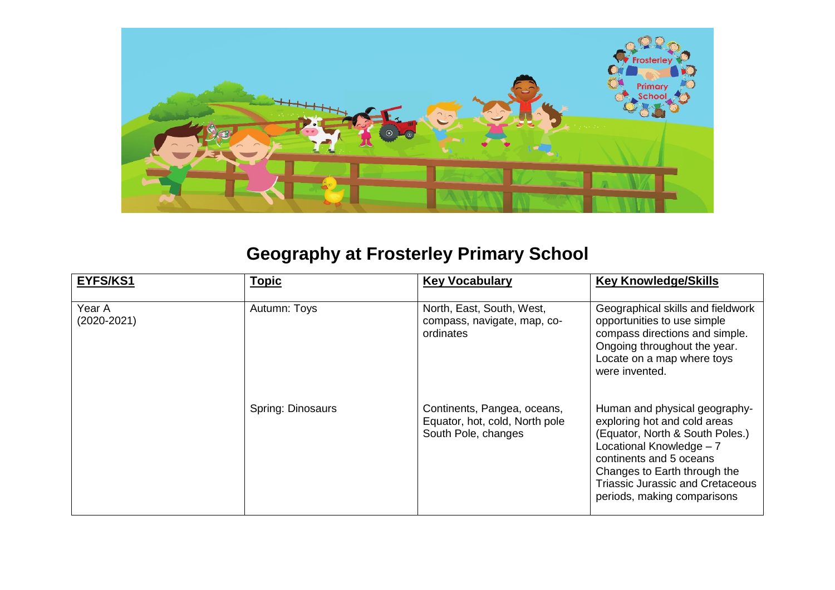

## **Geography at Frosterley Primary School**

| EYFS/KS1                  | <b>Topic</b>             | <b>Key Vocabulary</b>                                                                | <b>Key Knowledge/Skills</b>                                                                                                                                                                                                                                       |
|---------------------------|--------------------------|--------------------------------------------------------------------------------------|-------------------------------------------------------------------------------------------------------------------------------------------------------------------------------------------------------------------------------------------------------------------|
| Year A<br>$(2020 - 2021)$ | Autumn: Toys             | North, East, South, West,<br>compass, navigate, map, co-<br>ordinates                | Geographical skills and fieldwork<br>opportunities to use simple<br>compass directions and simple.<br>Ongoing throughout the year.<br>Locate on a map where toys<br>were invented.                                                                                |
|                           | <b>Spring: Dinosaurs</b> | Continents, Pangea, oceans,<br>Equator, hot, cold, North pole<br>South Pole, changes | Human and physical geography-<br>exploring hot and cold areas<br>(Equator, North & South Poles.)<br>Locational Knowledge - 7<br>continents and 5 oceans<br>Changes to Earth through the<br><b>Triassic Jurassic and Cretaceous</b><br>periods, making comparisons |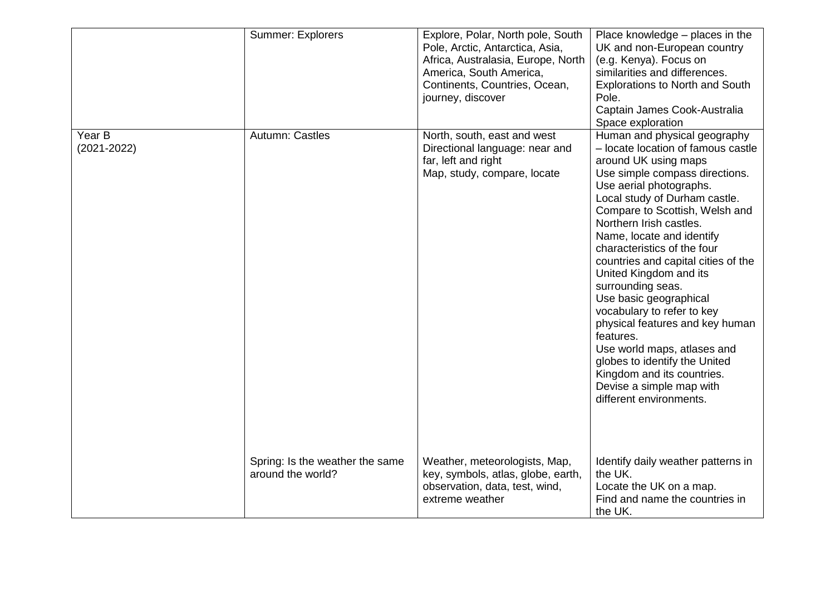|                           | Summer: Explorers                                    | Explore, Polar, North pole, South<br>Pole, Arctic, Antarctica, Asia,<br>Africa, Australasia, Europe, North<br>America, South America,<br>Continents, Countries, Ocean,<br>journey, discover | Place knowledge – places in the<br>UK and non-European country<br>(e.g. Kenya). Focus on<br>similarities and differences.<br><b>Explorations to North and South</b><br>Pole.<br>Captain James Cook-Australia<br>Space exploration                                                                                                                                                                                                                                                                                                                                                                                                                                    |
|---------------------------|------------------------------------------------------|---------------------------------------------------------------------------------------------------------------------------------------------------------------------------------------------|----------------------------------------------------------------------------------------------------------------------------------------------------------------------------------------------------------------------------------------------------------------------------------------------------------------------------------------------------------------------------------------------------------------------------------------------------------------------------------------------------------------------------------------------------------------------------------------------------------------------------------------------------------------------|
| Year B<br>$(2021 - 2022)$ | Autumn: Castles                                      | North, south, east and west<br>Directional language: near and<br>far, left and right<br>Map, study, compare, locate                                                                         | Human and physical geography<br>- locate location of famous castle<br>around UK using maps<br>Use simple compass directions.<br>Use aerial photographs.<br>Local study of Durham castle.<br>Compare to Scottish, Welsh and<br>Northern Irish castles.<br>Name, locate and identify<br>characteristics of the four<br>countries and capital cities of the<br>United Kingdom and its<br>surrounding seas.<br>Use basic geographical<br>vocabulary to refer to key<br>physical features and key human<br>features.<br>Use world maps, atlases and<br>globes to identify the United<br>Kingdom and its countries.<br>Devise a simple map with<br>different environments. |
|                           | Spring: Is the weather the same<br>around the world? | Weather, meteorologists, Map,<br>key, symbols, atlas, globe, earth,<br>observation, data, test, wind,<br>extreme weather                                                                    | Identify daily weather patterns in<br>the UK.<br>Locate the UK on a map.<br>Find and name the countries in<br>the UK.                                                                                                                                                                                                                                                                                                                                                                                                                                                                                                                                                |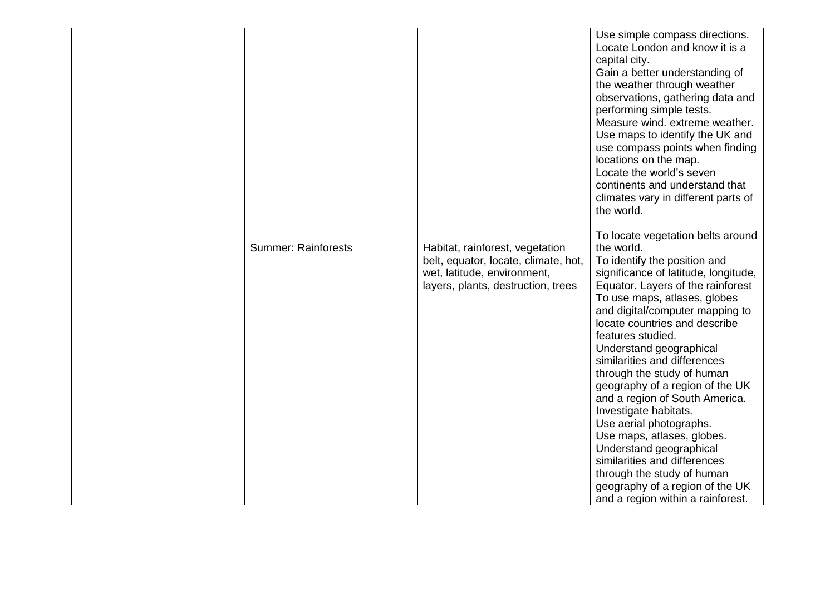| <b>Summer: Rainforests</b> | Habitat, rainforest, vegetation<br>belt, equator, locate, climate, hot,<br>wet, latitude, environment,<br>layers, plants, destruction, trees | Use simple compass directions.<br>Locate London and know it is a<br>capital city.<br>Gain a better understanding of<br>the weather through weather<br>observations, gathering data and<br>performing simple tests.<br>Measure wind. extreme weather.<br>Use maps to identify the UK and<br>use compass points when finding<br>locations on the map.<br>Locate the world's seven<br>continents and understand that<br>climates vary in different parts of<br>the world.<br>To locate vegetation belts around<br>the world.<br>To identify the position and<br>significance of latitude, longitude,<br>Equator. Layers of the rainforest<br>To use maps, atlases, globes<br>and digital/computer mapping to<br>locate countries and describe<br>features studied.<br>Understand geographical<br>similarities and differences<br>through the study of human<br>geography of a region of the UK<br>and a region of South America.<br>Investigate habitats.<br>Use aerial photographs.<br>Use maps, atlases, globes.<br>Understand geographical<br>similarities and differences<br>through the study of human |
|----------------------------|----------------------------------------------------------------------------------------------------------------------------------------------|----------------------------------------------------------------------------------------------------------------------------------------------------------------------------------------------------------------------------------------------------------------------------------------------------------------------------------------------------------------------------------------------------------------------------------------------------------------------------------------------------------------------------------------------------------------------------------------------------------------------------------------------------------------------------------------------------------------------------------------------------------------------------------------------------------------------------------------------------------------------------------------------------------------------------------------------------------------------------------------------------------------------------------------------------------------------------------------------------------|
|                            |                                                                                                                                              | geography of a region of the UK<br>and a region within a rainforest.                                                                                                                                                                                                                                                                                                                                                                                                                                                                                                                                                                                                                                                                                                                                                                                                                                                                                                                                                                                                                                     |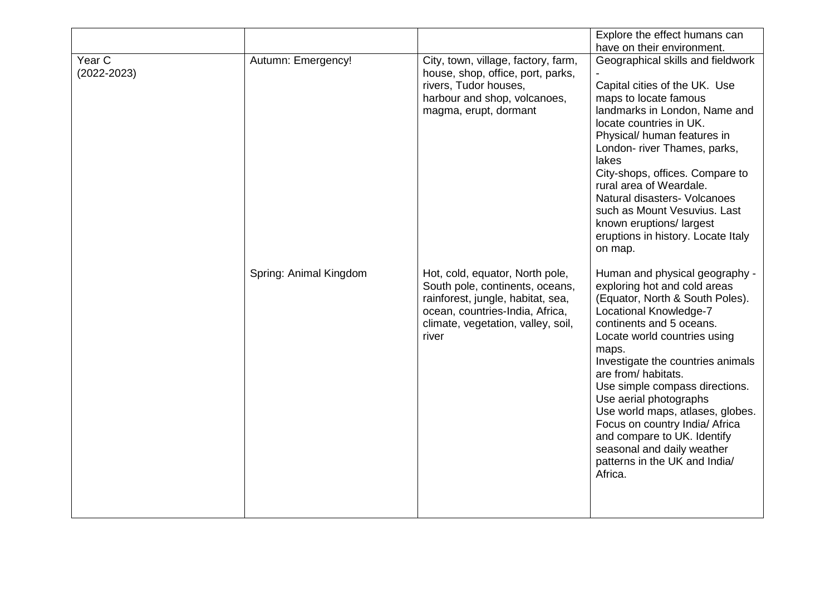|                 |                        |                                                                                                                                                                                           | Explore the effect humans can                                                                                                                                                                                                                                                                                                                                                                                                                                                                           |
|-----------------|------------------------|-------------------------------------------------------------------------------------------------------------------------------------------------------------------------------------------|---------------------------------------------------------------------------------------------------------------------------------------------------------------------------------------------------------------------------------------------------------------------------------------------------------------------------------------------------------------------------------------------------------------------------------------------------------------------------------------------------------|
|                 |                        |                                                                                                                                                                                           | have on their environment.                                                                                                                                                                                                                                                                                                                                                                                                                                                                              |
| Year C          | Autumn: Emergency!     | City, town, village, factory, farm,                                                                                                                                                       | Geographical skills and fieldwork                                                                                                                                                                                                                                                                                                                                                                                                                                                                       |
| $(2022 - 2023)$ |                        | house, shop, office, port, parks,                                                                                                                                                         |                                                                                                                                                                                                                                                                                                                                                                                                                                                                                                         |
|                 |                        | rivers, Tudor houses,                                                                                                                                                                     | Capital cities of the UK. Use                                                                                                                                                                                                                                                                                                                                                                                                                                                                           |
|                 |                        | harbour and shop, volcanoes,                                                                                                                                                              | maps to locate famous                                                                                                                                                                                                                                                                                                                                                                                                                                                                                   |
|                 |                        | magma, erupt, dormant                                                                                                                                                                     | landmarks in London, Name and<br>locate countries in UK.<br>Physical/ human features in                                                                                                                                                                                                                                                                                                                                                                                                                 |
|                 |                        |                                                                                                                                                                                           | London- river Thames, parks,<br>lakes                                                                                                                                                                                                                                                                                                                                                                                                                                                                   |
|                 |                        |                                                                                                                                                                                           | City-shops, offices. Compare to<br>rural area of Weardale.                                                                                                                                                                                                                                                                                                                                                                                                                                              |
|                 |                        |                                                                                                                                                                                           | Natural disasters- Volcanoes<br>such as Mount Vesuvius. Last                                                                                                                                                                                                                                                                                                                                                                                                                                            |
|                 |                        |                                                                                                                                                                                           | known eruptions/largest<br>eruptions in history. Locate Italy<br>on map.                                                                                                                                                                                                                                                                                                                                                                                                                                |
|                 | Spring: Animal Kingdom | Hot, cold, equator, North pole,<br>South pole, continents, oceans,<br>rainforest, jungle, habitat, sea,<br>ocean, countries-India, Africa,<br>climate, vegetation, valley, soil,<br>river | Human and physical geography -<br>exploring hot and cold areas<br>(Equator, North & South Poles).<br>Locational Knowledge-7<br>continents and 5 oceans.<br>Locate world countries using<br>maps.<br>Investigate the countries animals<br>are from/ habitats.<br>Use simple compass directions.<br>Use aerial photographs<br>Use world maps, atlases, globes.<br>Focus on country India/ Africa<br>and compare to UK. Identify<br>seasonal and daily weather<br>patterns in the UK and India/<br>Africa. |
|                 |                        |                                                                                                                                                                                           |                                                                                                                                                                                                                                                                                                                                                                                                                                                                                                         |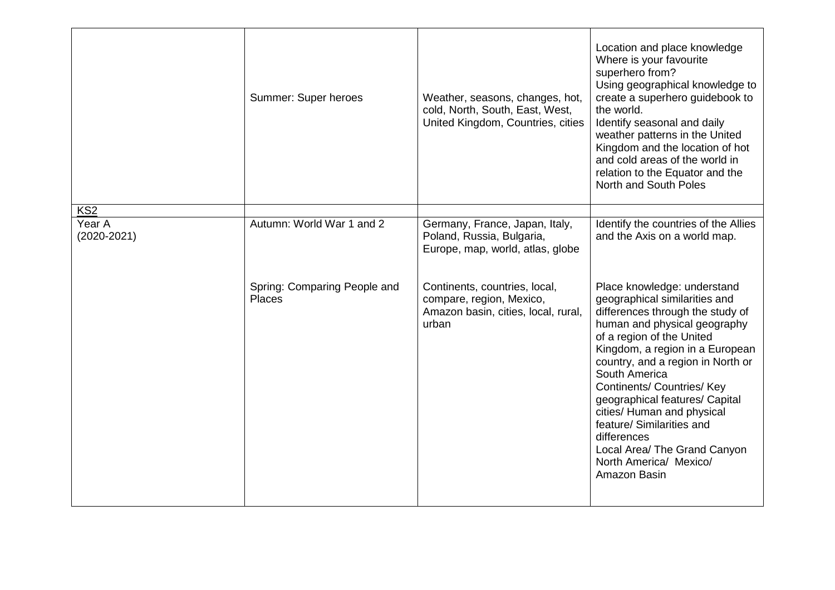|                           | Summer: Super heroes                   | Weather, seasons, changes, hot,<br>cold, North, South, East, West,<br>United Kingdom, Countries, cities   | Location and place knowledge<br>Where is your favourite<br>superhero from?<br>Using geographical knowledge to<br>create a superhero guidebook to<br>the world.<br>Identify seasonal and daily<br>weather patterns in the United<br>Kingdom and the location of hot<br>and cold areas of the world in<br>relation to the Equator and the<br>North and South Poles                                                                                                                  |
|---------------------------|----------------------------------------|-----------------------------------------------------------------------------------------------------------|-----------------------------------------------------------------------------------------------------------------------------------------------------------------------------------------------------------------------------------------------------------------------------------------------------------------------------------------------------------------------------------------------------------------------------------------------------------------------------------|
| KS <sub>2</sub>           |                                        |                                                                                                           |                                                                                                                                                                                                                                                                                                                                                                                                                                                                                   |
| Year A<br>$(2020 - 2021)$ | Autumn: World War 1 and 2              | Germany, France, Japan, Italy,<br>Poland, Russia, Bulgaria,<br>Europe, map, world, atlas, globe           | Identify the countries of the Allies<br>and the Axis on a world map.                                                                                                                                                                                                                                                                                                                                                                                                              |
|                           | Spring: Comparing People and<br>Places | Continents, countries, local,<br>compare, region, Mexico,<br>Amazon basin, cities, local, rural,<br>urban | Place knowledge: understand<br>geographical similarities and<br>differences through the study of<br>human and physical geography<br>of a region of the United<br>Kingdom, a region in a European<br>country, and a region in North or<br>South America<br><b>Continents/ Countries/ Key</b><br>geographical features/ Capital<br>cities/ Human and physical<br>feature/ Similarities and<br>differences<br>Local Area/ The Grand Canyon<br>North America/ Mexico/<br>Amazon Basin |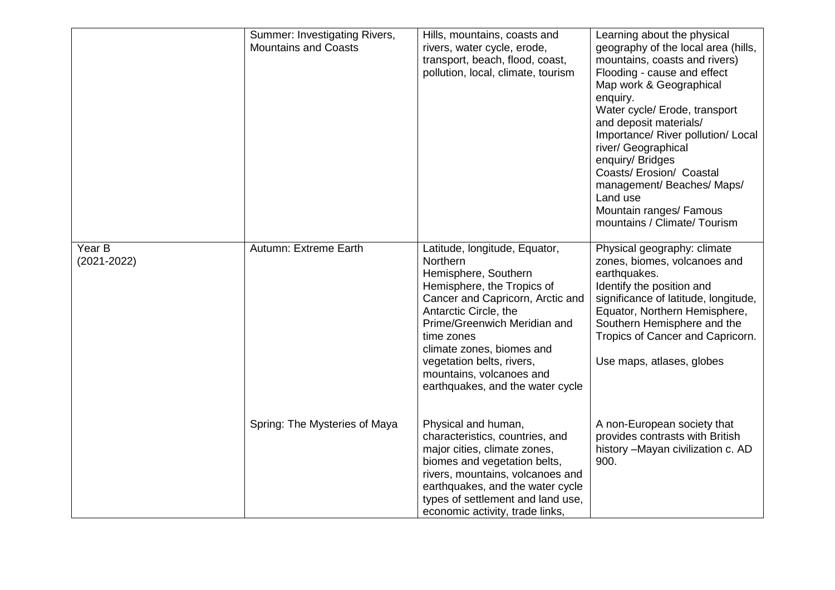|                           | Summer: Investigating Rivers,<br><b>Mountains and Coasts</b> | Hills, mountains, coasts and<br>rivers, water cycle, erode,<br>transport, beach, flood, coast,<br>pollution, local, climate, tourism                                                                                                                                                                                                 | Learning about the physical<br>geography of the local area (hills,<br>mountains, coasts and rivers)<br>Flooding - cause and effect<br>Map work & Geographical<br>enquiry.<br>Water cycle/ Erode, transport<br>and deposit materials/<br>Importance/ River pollution/ Local<br>river/ Geographical<br>enquiry/ Bridges<br>Coasts/ Erosion/ Coastal<br>management/Beaches/Maps/<br>Land use<br>Mountain ranges/ Famous<br>mountains / Climate/ Tourism |
|---------------------------|--------------------------------------------------------------|--------------------------------------------------------------------------------------------------------------------------------------------------------------------------------------------------------------------------------------------------------------------------------------------------------------------------------------|------------------------------------------------------------------------------------------------------------------------------------------------------------------------------------------------------------------------------------------------------------------------------------------------------------------------------------------------------------------------------------------------------------------------------------------------------|
| Year B<br>$(2021 - 2022)$ | Autumn: Extreme Earth                                        | Latitude, longitude, Equator,<br>Northern<br>Hemisphere, Southern<br>Hemisphere, the Tropics of<br>Cancer and Capricorn, Arctic and<br>Antarctic Circle, the<br>Prime/Greenwich Meridian and<br>time zones<br>climate zones, biomes and<br>vegetation belts, rivers,<br>mountains, volcanoes and<br>earthquakes, and the water cycle | Physical geography: climate<br>zones, biomes, volcanoes and<br>earthquakes.<br>Identify the position and<br>significance of latitude, longitude,<br>Equator, Northern Hemisphere,<br>Southern Hemisphere and the<br>Tropics of Cancer and Capricorn.<br>Use maps, atlases, globes                                                                                                                                                                    |
|                           | Spring: The Mysteries of Maya                                | Physical and human,<br>characteristics, countries, and<br>major cities, climate zones,<br>biomes and vegetation belts,<br>rivers, mountains, volcanoes and<br>earthquakes, and the water cycle<br>types of settlement and land use,<br>economic activity, trade links,                                                               | A non-European society that<br>provides contrasts with British<br>history - Mayan civilization c. AD<br>900.                                                                                                                                                                                                                                                                                                                                         |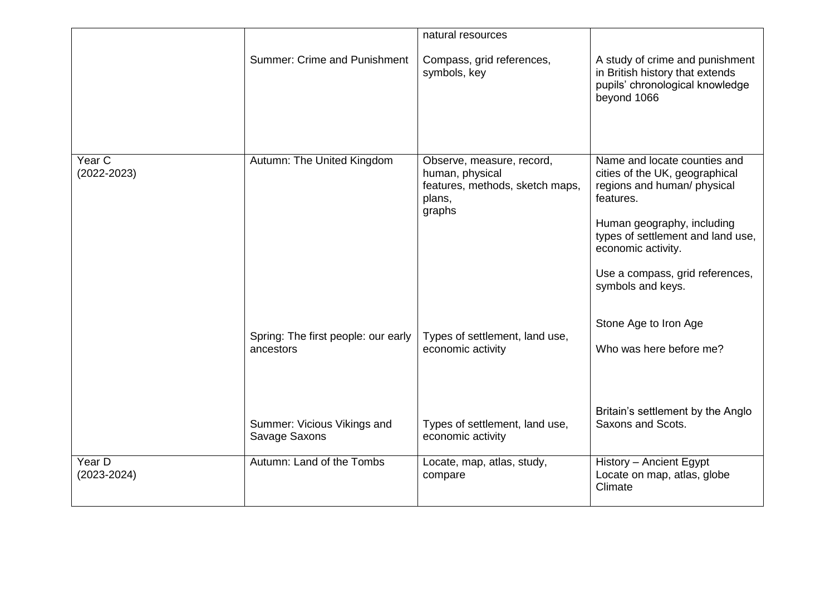|                           |                                                  | natural resources                                                                                   |                                                                                                                                                                                                                                                             |
|---------------------------|--------------------------------------------------|-----------------------------------------------------------------------------------------------------|-------------------------------------------------------------------------------------------------------------------------------------------------------------------------------------------------------------------------------------------------------------|
|                           | <b>Summer: Crime and Punishment</b>              | Compass, grid references,<br>symbols, key                                                           | A study of crime and punishment<br>in British history that extends<br>pupils' chronological knowledge<br>beyond 1066                                                                                                                                        |
| Year C<br>$(2022 - 2023)$ | Autumn: The United Kingdom                       | Observe, measure, record,<br>human, physical<br>features, methods, sketch maps,<br>plans,<br>graphs | Name and locate counties and<br>cities of the UK, geographical<br>regions and human/ physical<br>features.<br>Human geography, including<br>types of settlement and land use,<br>economic activity.<br>Use a compass, grid references,<br>symbols and keys. |
|                           | Spring: The first people: our early<br>ancestors | Types of settlement, land use,<br>economic activity                                                 | Stone Age to Iron Age<br>Who was here before me?<br>Britain's settlement by the Anglo                                                                                                                                                                       |
|                           | Summer: Vicious Vikings and<br>Savage Saxons     | Types of settlement, land use,<br>economic activity                                                 | Saxons and Scots.                                                                                                                                                                                                                                           |
| Year D<br>(2023-2024)     | Autumn: Land of the Tombs                        | Locate, map, atlas, study,<br>compare                                                               | History - Ancient Egypt<br>Locate on map, atlas, globe<br>Climate                                                                                                                                                                                           |